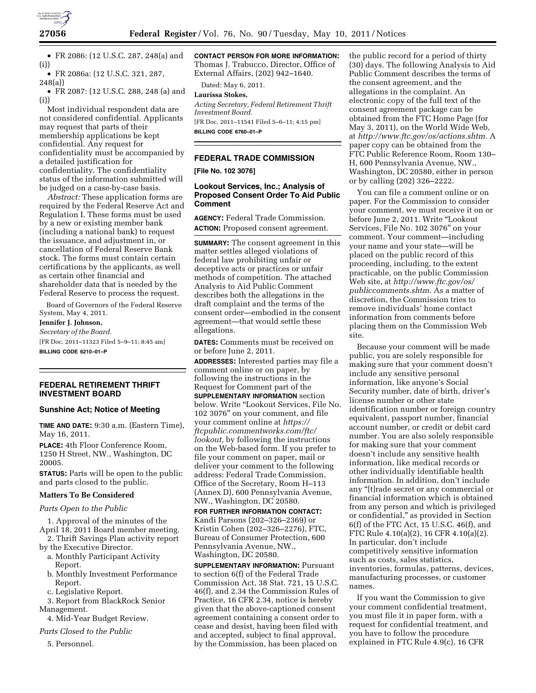

• FR 2086: (12 U.S.C. 287, 248(a) and (i))

• FR 2086a: (12 U.S.C. 321, 287, 248(a))

• FR 2087: (12 U.S.C. 288, 248 (a) and (i))

Most individual respondent data are not considered confidential. Applicants may request that parts of their membership applications be kept confidential. Any request for confidentiality must be accompanied by a detailed justification for confidentiality. The confidentiality status of the information submitted will be judged on a case-by-case basis.

*Abstract:* These application forms are required by the Federal Reserve Act and Regulation I. These forms must be used by a new or existing member bank (including a national bank) to request the issuance, and adjustment in, or cancellation of Federal Reserve Bank stock. The forms must contain certain certifications by the applicants, as well as certain other financial and shareholder data that is needed by the Federal Reserve to process the request.

Board of Governors of the Federal Reserve System, May 4, 2011.

#### **Jennifer J. Johnson,**

*Secretary of the Board.*  [FR Doc. 2011–11323 Filed 5–9–11; 8:45 am] **BILLING CODE 6210–01–P** 

**FEDERAL RETIREMENT THRIFT INVESTMENT BOARD** 

### **Sunshine Act; Notice of Meeting**

**TIME AND DATE:** 9:30 a.m. (Eastern Time), May 16, 2011.

**PLACE:** 4th Floor Conference Room, 1250 H Street, NW., Washington, DC 20005.

**STATUS:** Parts will be open to the public and parts closed to the public.

#### **Matters To Be Considered**

*Parts Open to the Public* 

1. Approval of the minutes of the April 18, 2011 Board member meeting.

2. Thrift Savings Plan activity report by the Executive Director.

- a. Monthly Participant Activity Report.
- b. Monthly Investment Performance Report.
- c. Legislative Report.

3. Report from BlackRock Senior Management.

4. Mid-Year Budget Review.

*Parts Closed to the Public* 

5. Personnel.

**CONTACT PERSON FOR MORE INFORMATION:**  Thomas J. Trabucco, Director, Office of External Affairs, (202) 942–1640.

Dated: May 6, 2011.

## **Laurissa Stokes,**

*Acting Secretary, Federal Retirement Thrift Investment Board.*  [FR Doc. 2011–11541 Filed 5–6–11; 4:15 pm]

**BILLING CODE 6760–01–P** 

# **FEDERAL TRADE COMMISSION**

**[File No. 102 3076]** 

#### **Lookout Services, Inc.; Analysis of Proposed Consent Order To Aid Public Comment**

**AGENCY:** Federal Trade Commission. **ACTION:** Proposed consent agreement.

**SUMMARY:** The consent agreement in this matter settles alleged violations of federal law prohibiting unfair or deceptive acts or practices or unfair methods of competition. The attached Analysis to Aid Public Comment describes both the allegations in the draft complaint and the terms of the consent order—embodied in the consent agreement—that would settle these allegations.

**DATES:** Comments must be received on or before June 2, 2011.

**ADDRESSES:** Interested parties may file a comment online or on paper, by following the instructions in the Request for Comment part of the **SUPPLEMENTARY INFORMATION** section below. Write ''Lookout Services, File No. 102 3076'' on your comment, and file your comment online at *[https://](https://ftcpublic.commentworks.com/ftc/lookout)  [ftcpublic.commentworks.com/ftc/](https://ftcpublic.commentworks.com/ftc/lookout)  [lookout,](https://ftcpublic.commentworks.com/ftc/lookout)* by following the instructions on the Web-based form. If you prefer to file your comment on paper, mail or deliver your comment to the following address: Federal Trade Commission, Office of the Secretary, Room H–113 (Annex D), 600 Pennsylvania Avenue, NW., Washington, DC 20580.

**FOR FURTHER INFORMATION CONTACT:**  Kandi Parsons (202–326–2369) or Kristin Cohen (202–326–2276), FTC, Bureau of Consumer Protection, 600 Pennsylvania Avenue, NW., Washington, DC 20580.

**SUPPLEMENTARY INFORMATION: Pursuant** to section 6(f) of the Federal Trade Commission Act, 38 Stat. 721, 15 U.S.C. 46(f), and 2.34 the Commission Rules of Practice, 16 CFR 2.34, notice is hereby given that the above-captioned consent agreement containing a consent order to cease and desist, having been filed with and accepted, subject to final approval, by the Commission, has been placed on

the public record for a period of thirty (30) days. The following Analysis to Aid Public Comment describes the terms of the consent agreement, and the allegations in the complaint. An electronic copy of the full text of the consent agreement package can be obtained from the FTC Home Page (for May 3, 2011), on the World Wide Web, at *[http://www.ftc.gov/os/actions.shtm.](http://www.ftc.gov/os/actions.shtm)* A paper copy can be obtained from the FTC Public Reference Room, Room 130– H, 600 Pennsylvania Avenue, NW., Washington, DC 20580, either in person or by calling (202) 326–2222.

You can file a comment online or on paper. For the Commission to consider your comment, we must receive it on or before June 2, 2011. Write ''Lookout Services, File No. 102 3076'' on your comment. Your comment—including your name and your state—will be placed on the public record of this proceeding, including, to the extent practicable, on the public Commission Web site, at *[http://www.ftc.gov/os/](http://www.ftc.gov/os/publiccomments.shtm) [publiccomments.shtm.](http://www.ftc.gov/os/publiccomments.shtm)* As a matter of discretion, the Commission tries to remove individuals' home contact information from comments before placing them on the Commission Web site.

Because your comment will be made public, you are solely responsible for making sure that your comment doesn't include any sensitive personal information, like anyone's Social Security number, date of birth, driver's license number or other state identification number or foreign country equivalent, passport number, financial account number, or credit or debit card number. You are also solely responsible for making sure that your comment doesn't include any sensitive health information, like medical records or other individually identifiable health information. In addition, don't include any ''[t]rade secret or any commercial or financial information which is obtained from any person and which is privileged or confidential,'' as provided in Section 6(f) of the FTC Act, 15 U.S.C. 46(f), and FTC Rule 4.10(a)(2), 16 CFR 4.10(a)(2). In particular, don't include competitively sensitive information such as costs, sales statistics, inventories, formulas, patterns, devices, manufacturing processes, or customer names.

If you want the Commission to give your comment confidential treatment, you must file it in paper form, with a request for confidential treatment, and you have to follow the procedure explained in FTC Rule 4.9(c), 16 CFR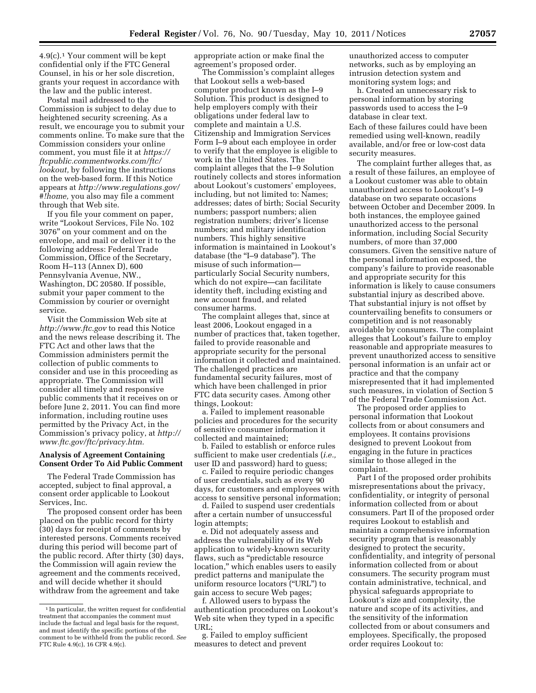4.9(c).1 Your comment will be kept confidential only if the FTC General Counsel, in his or her sole discretion, grants your request in accordance with the law and the public interest.

Postal mail addressed to the Commission is subject to delay due to heightened security screening. As a result, we encourage you to submit your comments online. To make sure that the Commission considers your online comment, you must file it at *[https://](https://ftcpublic.commentworks.com/ftc/lookout) [ftcpublic.commentworks.com/ftc/](https://ftcpublic.commentworks.com/ftc/lookout)  [lookout,](https://ftcpublic.commentworks.com/ftc/lookout)* by following the instructions on the web-based form. If this Notice appears at *[http://www.regulations.gov/](http://www.regulations.gov/#!home) [#!home,](http://www.regulations.gov/#!home)* you also may file a comment through that Web site.

If you file your comment on paper, write ''Lookout Services, File No. 102 3076'' on your comment and on the envelope, and mail or deliver it to the following address: Federal Trade Commission, Office of the Secretary, Room H–113 (Annex D), 600 Pennsylvania Avenue, NW., Washington, DC 20580. If possible, submit your paper comment to the Commission by courier or overnight service.

Visit the Commission Web site at *<http://www.ftc.gov>*to read this Notice and the news release describing it. The FTC Act and other laws that the Commission administers permit the collection of public comments to consider and use in this proceeding as appropriate. The Commission will consider all timely and responsive public comments that it receives on or before June 2, 2011. You can find more information, including routine uses permitted by the Privacy Act, in the Commission's privacy policy, at *[http://](http://www.ftc.gov/ftc/privacy.htm) [www.ftc.gov/ftc/privacy.htm.](http://www.ftc.gov/ftc/privacy.htm)* 

#### **Analysis of Agreement Containing Consent Order To Aid Public Comment**

The Federal Trade Commission has accepted, subject to final approval, a consent order applicable to Lookout Services, Inc.

The proposed consent order has been placed on the public record for thirty (30) days for receipt of comments by interested persons. Comments received during this period will become part of the public record. After thirty (30) days, the Commission will again review the agreement and the comments received, and will decide whether it should withdraw from the agreement and take

appropriate action or make final the agreement's proposed order.

The Commission's complaint alleges that Lookout sells a web-based computer product known as the I–9 Solution. This product is designed to help employers comply with their obligations under federal law to complete and maintain a U.S. Citizenship and Immigration Services Form I–9 about each employee in order to verify that the employee is eligible to work in the United States. The complaint alleges that the I–9 Solution routinely collects and stores information about Lookout's customers' employees, including, but not limited to: Names; addresses; dates of birth; Social Security numbers; passport numbers; alien registration numbers; driver's license numbers; and military identification numbers. This highly sensitive information is maintained in Lookout's database (the ''I–9 database''). The misuse of such information particularly Social Security numbers, which do not expire—can facilitate identity theft, including existing and new account fraud, and related consumer harms.

The complaint alleges that, since at least 2006, Lookout engaged in a number of practices that, taken together, failed to provide reasonable and appropriate security for the personal information it collected and maintained. The challenged practices are fundamental security failures, most of which have been challenged in prior FTC data security cases. Among other things, Lookout:

a. Failed to implement reasonable policies and procedures for the security of sensitive consumer information it collected and maintained;

b. Failed to establish or enforce rules sufficient to make user credentials (*i.e.,*  user ID and password) hard to guess;

c. Failed to require periodic changes of user credentials, such as every 90 days, for customers and employees with access to sensitive personal information;

d. Failed to suspend user credentials after a certain number of unsuccessful login attempts;

e. Did not adequately assess and address the vulnerability of its Web application to widely-known security flaws, such as ''predictable resource location,'' which enables users to easily predict patterns and manipulate the uniform resource locators (''URL'') to gain access to secure Web pages;

f. Allowed users to bypass the authentication procedures on Lookout's Web site when they typed in a specific URL;

g. Failed to employ sufficient measures to detect and prevent

unauthorized access to computer networks, such as by employing an intrusion detection system and monitoring system logs; and

h. Created an unnecessary risk to personal information by storing passwords used to access the I–9 database in clear text. Each of these failures could have been remedied using well-known, readily available, and/or free or low-cost data security measures.

The complaint further alleges that, as a result of these failures, an employee of a Lookout customer was able to obtain unauthorized access to Lookout's I–9 database on two separate occasions between October and December 2009. In both instances, the employee gained unauthorized access to the personal information, including Social Security numbers, of more than 37,000 consumers. Given the sensitive nature of the personal information exposed, the company's failure to provide reasonable and appropriate security for this information is likely to cause consumers substantial injury as described above. That substantial injury is not offset by countervailing benefits to consumers or competition and is not reasonably avoidable by consumers. The complaint alleges that Lookout's failure to employ reasonable and appropriate measures to prevent unauthorized access to sensitive personal information is an unfair act or practice and that the company misrepresented that it had implemented such measures, in violation of Section 5 of the Federal Trade Commission Act.

The proposed order applies to personal information that Lookout collects from or about consumers and employees. It contains provisions designed to prevent Lookout from engaging in the future in practices similar to those alleged in the complaint.

Part I of the proposed order prohibits misrepresentations about the privacy, confidentiality, or integrity of personal information collected from or about consumers. Part II of the proposed order requires Lookout to establish and maintain a comprehensive information security program that is reasonably designed to protect the security, confidentiality, and integrity of personal information collected from or about consumers. The security program must contain administrative, technical, and physical safeguards appropriate to Lookout's size and complexity, the nature and scope of its activities, and the sensitivity of the information collected from or about consumers and employees. Specifically, the proposed order requires Lookout to:

<sup>1</sup> In particular, the written request for confidential treatment that accompanies the comment must include the factual and legal basis for the request, and must identify the specific portions of the comment to be withheld from the public record. *See*  FTC Rule 4.9(c), 16 CFR 4.9(c).